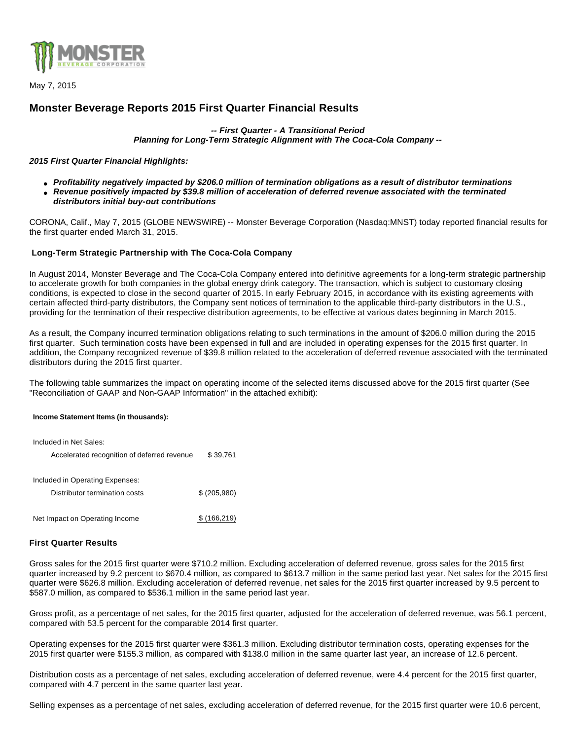

May 7, 2015

# **Monster Beverage Reports 2015 First Quarter Financial Results**

## **-- First Quarter - A Transitional Period Planning for Long-Term Strategic Alignment with The Coca-Cola Company --**

#### **2015 First Quarter Financial Highlights:**

- **Profitability negatively impacted by \$206.0 million of termination obligations as a result of distributor terminations**
- **Revenue positively impacted by \$39.8 million of acceleration of deferred revenue associated with the terminated distributors initial buy-out contributions**

CORONA, Calif., May 7, 2015 (GLOBE NEWSWIRE) -- Monster Beverage Corporation (Nasdaq:MNST) today reported financial results for the first quarter ended March 31, 2015.

## **Long-Term Strategic Partnership with The Coca-Cola Company**

In August 2014, Monster Beverage and The Coca-Cola Company entered into definitive agreements for a long-term strategic partnership to accelerate growth for both companies in the global energy drink category. The transaction, which is subject to customary closing conditions, is expected to close in the second quarter of 2015. In early February 2015, in accordance with its existing agreements with certain affected third-party distributors, the Company sent notices of termination to the applicable third-party distributors in the U.S., providing for the termination of their respective distribution agreements, to be effective at various dates beginning in March 2015.

As a result, the Company incurred termination obligations relating to such terminations in the amount of \$206.0 million during the 2015 first quarter. Such termination costs have been expensed in full and are included in operating expenses for the 2015 first quarter. In addition, the Company recognized revenue of \$39.8 million related to the acceleration of deferred revenue associated with the terminated distributors during the 2015 first quarter.

The following table summarizes the impact on operating income of the selected items discussed above for the 2015 first quarter (See "Reconciliation of GAAP and Non-GAAP Information" in the attached exhibit):

#### **Income Statement Items (in thousands):**

| Included in Net Sales:                      |              |
|---------------------------------------------|--------------|
| Accelerated recognition of deferred revenue | \$39,761     |
|                                             |              |
| Included in Operating Expenses:             |              |
| Distributor termination costs               | \$ (205,980) |
|                                             |              |
| Net Impact on Operating Income              | \$(166, 219) |

#### **First Quarter Results**

Gross sales for the 2015 first quarter were \$710.2 million. Excluding acceleration of deferred revenue, gross sales for the 2015 first quarter increased by 9.2 percent to \$670.4 million, as compared to \$613.7 million in the same period last year. Net sales for the 2015 first quarter were \$626.8 million. Excluding acceleration of deferred revenue, net sales for the 2015 first quarter increased by 9.5 percent to \$587.0 million, as compared to \$536.1 million in the same period last year.

Gross profit, as a percentage of net sales, for the 2015 first quarter, adjusted for the acceleration of deferred revenue, was 56.1 percent, compared with 53.5 percent for the comparable 2014 first quarter.

Operating expenses for the 2015 first quarter were \$361.3 million. Excluding distributor termination costs, operating expenses for the 2015 first quarter were \$155.3 million, as compared with \$138.0 million in the same quarter last year, an increase of 12.6 percent.

Distribution costs as a percentage of net sales, excluding acceleration of deferred revenue, were 4.4 percent for the 2015 first quarter, compared with 4.7 percent in the same quarter last year.

Selling expenses as a percentage of net sales, excluding acceleration of deferred revenue, for the 2015 first quarter were 10.6 percent,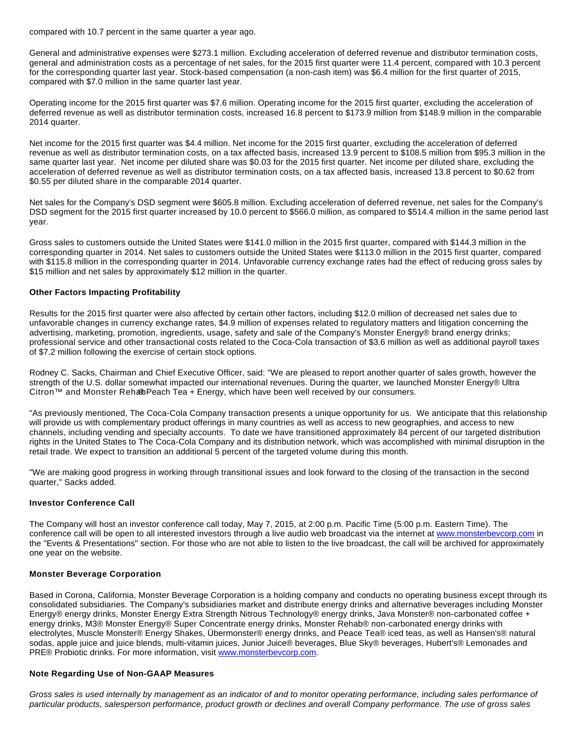compared with 10.7 percent in the same quarter a year ago.

General and administrative expenses were \$273.1 million. Excluding acceleration of deferred revenue and distributor termination costs, general and administration costs as a percentage of net sales, for the 2015 first quarter were 11.4 percent, compared with 10.3 percent for the corresponding quarter last year. Stock-based compensation (a non-cash item) was \$6.4 million for the first quarter of 2015, compared with \$7.0 million in the same quarter last year.

Operating income for the 2015 first quarter was \$7.6 million. Operating income for the 2015 first quarter, excluding the acceleration of deferred revenue as well as distributor termination costs, increased 16.8 percent to \$173.9 million from \$148.9 million in the comparable 2014 quarter.

Net income for the 2015 first quarter was \$4.4 million. Net income for the 2015 first quarter, excluding the acceleration of deferred revenue as well as distributor termination costs, on a tax affected basis, increased 13.9 percent to \$108.5 million from \$95.3 million in the same quarter last year. Net income per diluted share was \$0.03 for the 2015 first quarter. Net income per diluted share, excluding the acceleration of deferred revenue as well as distributor termination costs, on a tax affected basis, increased 13.8 percent to \$0.62 from \$0.55 per diluted share in the comparable 2014 quarter.

Net sales for the Company's DSD segment were \$605.8 million. Excluding acceleration of deferred revenue, net sales for the Company's DSD segment for the 2015 first quarter increased by 10.0 percent to \$566.0 million, as compared to \$514.4 million in the same period last year.

Gross sales to customers outside the United States were \$141.0 million in the 2015 first quarter, compared with \$144.3 million in the corresponding quarter in 2014. Net sales to customers outside the United States were \$113.0 million in the 2015 first quarter, compared with \$115.8 million in the corresponding quarter in 2014. Unfavorable currency exchange rates had the effect of reducing gross sales by \$15 million and net sales by approximately \$12 million in the quarter.

#### **Other Factors Impacting Profitability**

Results for the 2015 first quarter were also affected by certain other factors, including \$12.0 million of decreased net sales due to unfavorable changes in currency exchange rates, \$4.9 million of expenses related to regulatory matters and litigation concerning the advertising, marketing, promotion, ingredients, usage, safety and sale of the Company's Monster Energy® brand energy drinks; professional service and other transactional costs related to the Coca-Cola transaction of \$3.6 million as well as additional payroll taxes of \$7.2 million following the exercise of certain stock options.

Rodney C. Sacks, Chairman and Chief Executive Officer, said: "We are pleased to report another quarter of sales growth, however the strength of the U.S. dollar somewhat impacted our international revenues. During the quarter, we launched Monster Energy® Ultra Citron™ and Monster Rehab® Peach Tea + Energy, which have been well received by our consumers.

"As previously mentioned, The Coca-Cola Company transaction presents a unique opportunity for us. We anticipate that this relationship will provide us with complementary product offerings in many countries as well as access to new geographies, and access to new channels, including vending and specialty accounts. To date we have transitioned approximately 84 percent of our targeted distribution rights in the United States to The Coca-Cola Company and its distribution network, which was accomplished with minimal disruption in the retail trade. We expect to transition an additional 5 percent of the targeted volume during this month.

"We are making good progress in working through transitional issues and look forward to the closing of the transaction in the second quarter," Sacks added.

## **Investor Conference Call**

The Company will host an investor conference call today, May 7, 2015, at 2:00 p.m. Pacific Time (5:00 p.m. Eastern Time). The conference call will be open to all interested investors through a live audio web broadcast via the internet at [www.monsterbevcorp.com](http://www.globenewswire.com/newsroom/ctr?d=10133418&l=25&a=www.monsterbevcorp.com&u=http%3A%2F%2Fwww.monsterbevcorp.com%2F) in the "Events & Presentations" section. For those who are not able to listen to the live broadcast, the call will be archived for approximately one year on the website.

#### **Monster Beverage Corporation**

Based in Corona, California, Monster Beverage Corporation is a holding company and conducts no operating business except through its consolidated subsidiaries. The Company's subsidiaries market and distribute energy drinks and alternative beverages including Monster Energy® energy drinks, Monster Energy Extra Strength Nitrous Technology® energy drinks, Java Monster® non-carbonated coffee + energy drinks, M3® Monster Energy® Super Concentrate energy drinks, Monster Rehab® non-carbonated energy drinks with electrolytes, Muscle Monster® Energy Shakes, Übermonster® energy drinks, and Peace Tea® iced teas, as well as Hansen's® natural sodas, apple juice and juice blends, multi-vitamin juices, Junior Juice® beverages, Blue Sky® beverages, Hubert's® Lemonades and PRE® Probiotic drinks. For more information, visit [www.monsterbevcorp.com](http://www.globenewswire.com/newsroom/ctr?d=10133418&l=27&a=www.monsterbevcorp.com&u=http%3A%2F%2Fwww.monsterbevcorp.com%2F).

## **Note Regarding Use of Non-GAAP Measures**

Gross sales is used internally by management as an indicator of and to monitor operating performance, including sales performance of particular products, salesperson performance, product growth or declines and overall Company performance. The use of gross sales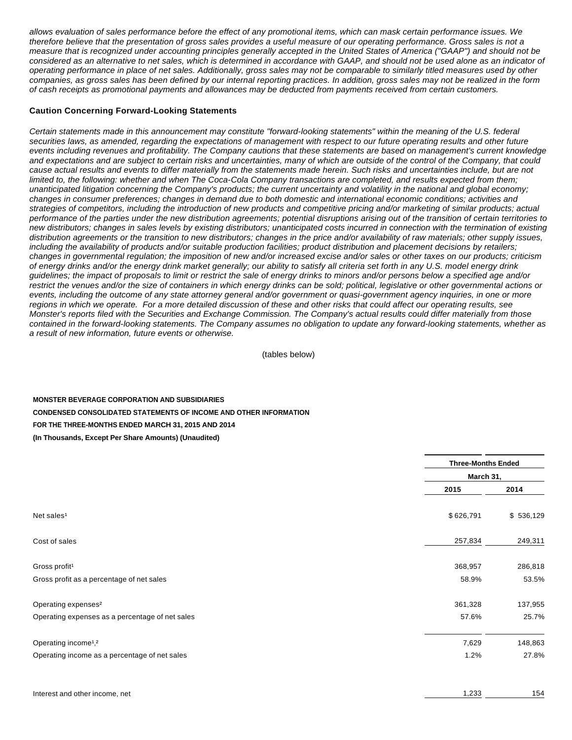allows evaluation of sales performance before the effect of any promotional items, which can mask certain performance issues. We therefore believe that the presentation of gross sales provides a useful measure of our operating performance. Gross sales is not a measure that is recognized under accounting principles generally accepted in the United States of America ("GAAP") and should not be considered as an alternative to net sales, which is determined in accordance with GAAP, and should not be used alone as an indicator of operating performance in place of net sales. Additionally, gross sales may not be comparable to similarly titled measures used by other companies, as gross sales has been defined by our internal reporting practices. In addition, gross sales may not be realized in the form of cash receipts as promotional payments and allowances may be deducted from payments received from certain customers.

## **Caution Concerning Forward-Looking Statements**

Certain statements made in this announcement may constitute "forward-looking statements" within the meaning of the U.S. federal securities laws, as amended, regarding the expectations of management with respect to our future operating results and other future events including revenues and profitability. The Company cautions that these statements are based on management's current knowledge and expectations and are subject to certain risks and uncertainties, many of which are outside of the control of the Company, that could cause actual results and events to differ materially from the statements made herein. Such risks and uncertainties include, but are not limited to, the following: whether and when The Coca-Cola Company transactions are completed, and results expected from them; unanticipated litigation concerning the Company's products; the current uncertainty and volatility in the national and global economy; changes in consumer preferences; changes in demand due to both domestic and international economic conditions; activities and strategies of competitors, including the introduction of new products and competitive pricing and/or marketing of similar products; actual performance of the parties under the new distribution agreements; potential disruptions arising out of the transition of certain territories to new distributors; changes in sales levels by existing distributors; unanticipated costs incurred in connection with the termination of existing distribution agreements or the transition to new distributors; changes in the price and/or availability of raw materials; other supply issues, including the availability of products and/or suitable production facilities; product distribution and placement decisions by retailers; changes in governmental regulation; the imposition of new and/or increased excise and/or sales or other taxes on our products; criticism of energy drinks and/or the energy drink market generally; our ability to satisfy all criteria set forth in any U.S. model energy drink guidelines; the impact of proposals to limit or restrict the sale of energy drinks to minors and/or persons below a specified age and/or restrict the venues and/or the size of containers in which energy drinks can be sold; political, legislative or other governmental actions or events, including the outcome of any state attorney general and/or government or quasi-government agency inquiries, in one or more regions in which we operate. For a more detailed discussion of these and other risks that could affect our operating results, see Monster's reports filed with the Securities and Exchange Commission. The Company's actual results could differ materially from those contained in the forward-looking statements. The Company assumes no obligation to update any forward-looking statements, whether as a result of new information, future events or otherwise.

(tables below)

## **MONSTER BEVERAGE CORPORATION AND SUBSIDIARIES CONDENSED CONSOLIDATED STATEMENTS OF INCOME AND OTHER INFORMATION FOR THE THREE-MONTHS ENDED MARCH 31, 2015 AND 2014 (In Thousands, Except Per Share Amounts) (Unaudited)**

|                                                 |           | <b>Three-Months Ended</b> |  |
|-------------------------------------------------|-----------|---------------------------|--|
|                                                 | March 31, |                           |  |
|                                                 | 2015      | 2014                      |  |
| Net sales <sup>1</sup>                          | \$626,791 | \$536,129                 |  |
| Cost of sales                                   | 257,834   | 249,311                   |  |
| Gross profit <sup>1</sup>                       | 368,957   | 286,818                   |  |
| Gross profit as a percentage of net sales       | 58.9%     | 53.5%                     |  |
| Operating expenses <sup>2</sup>                 | 361,328   | 137,955                   |  |
| Operating expenses as a percentage of net sales | 57.6%     | 25.7%                     |  |
| Operating income <sup>1</sup> , <sup>2</sup>    | 7,629     | 148,863                   |  |
| Operating income as a percentage of net sales   | 1.2%      | 27.8%                     |  |

| Interest and other income, net<br>$\sim$ $\sim$<br>. | $.23^\circ$<br>ں ے. | 15A<br>ັ |
|------------------------------------------------------|---------------------|----------|
|                                                      |                     |          |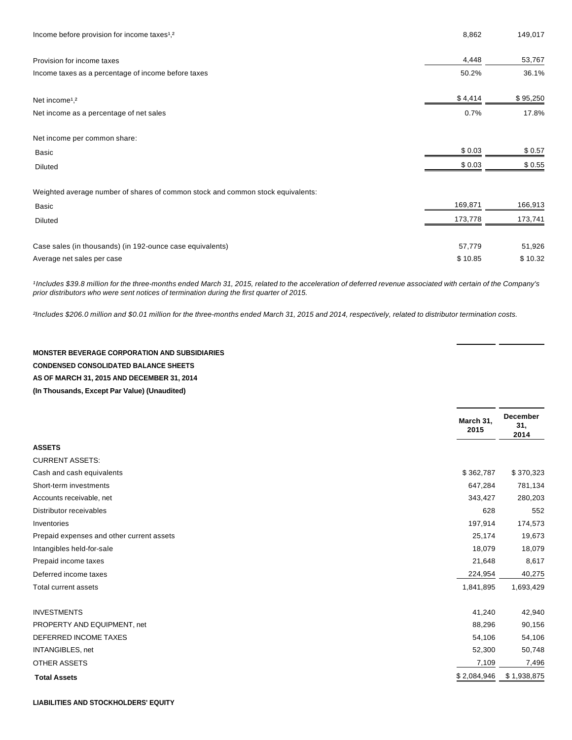| Income before provision for income taxes <sup>1</sup> , <sup>2</sup>            | 8,862   | 149,017  |
|---------------------------------------------------------------------------------|---------|----------|
| Provision for income taxes                                                      | 4,448   | 53,767   |
| Income taxes as a percentage of income before taxes                             | 50.2%   | 36.1%    |
| Net income <sup>1,2</sup>                                                       | \$4,414 | \$95,250 |
| Net income as a percentage of net sales                                         | 0.7%    | 17.8%    |
| Net income per common share:                                                    |         |          |
| Basic                                                                           | \$0.03  | \$0.57   |
| <b>Diluted</b>                                                                  | \$0.03  | \$0.55   |
| Weighted average number of shares of common stock and common stock equivalents: |         |          |
| Basic                                                                           | 169,871 | 166,913  |
| <b>Diluted</b>                                                                  | 173,778 | 173,741  |
| Case sales (in thousands) (in 192-ounce case equivalents)                       | 57,779  | 51,926   |
| Average net sales per case                                                      | \$10.85 | \$10.32  |

1Includes \$39.8 million for the three-months ended March 31, 2015, related to the acceleration of deferred revenue associated with certain of the Company's prior distributors who were sent notices of termination during the first quarter of 2015.

²Includes \$206.0 million and \$0.01 million for the three-months ended March 31, 2015 and 2014, respectively, related to distributor termination costs.

**MONSTER BEVERAGE CORPORATION AND SUBSIDIARIES CONDENSED CONSOLIDATED BALANCE SHEETS AS OF MARCH 31, 2015 AND DECEMBER 31, 2014 (In Thousands, Except Par Value) (Unaudited)** 

|                                           | March 31,<br>2015 | <b>December</b><br>31,<br>2014 |
|-------------------------------------------|-------------------|--------------------------------|
| <b>ASSETS</b>                             |                   |                                |
| <b>CURRENT ASSETS:</b>                    |                   |                                |
| Cash and cash equivalents                 | \$362,787         | \$370,323                      |
| Short-term investments                    | 647,284           | 781,134                        |
| Accounts receivable, net                  | 343,427           | 280,203                        |
| Distributor receivables                   | 628               | 552                            |
| Inventories                               | 197,914           | 174,573                        |
| Prepaid expenses and other current assets | 25,174            | 19,673                         |
| Intangibles held-for-sale                 | 18,079            | 18,079                         |
| Prepaid income taxes                      | 21,648            | 8,617                          |
| Deferred income taxes                     | 224,954           | 40,275                         |
| Total current assets                      | 1,841,895         | 1,693,429                      |
| <b>INVESTMENTS</b>                        | 41,240            | 42,940                         |
| PROPERTY AND EQUIPMENT, net               | 88,296            | 90,156                         |
| DEFERRED INCOME TAXES                     | 54,106            | 54,106                         |
| INTANGIBLES, net                          | 52,300            | 50,748                         |
| OTHER ASSETS                              | 7,109             | 7,496                          |
| <b>Total Assets</b>                       | \$2,084,946       | \$1,938,875                    |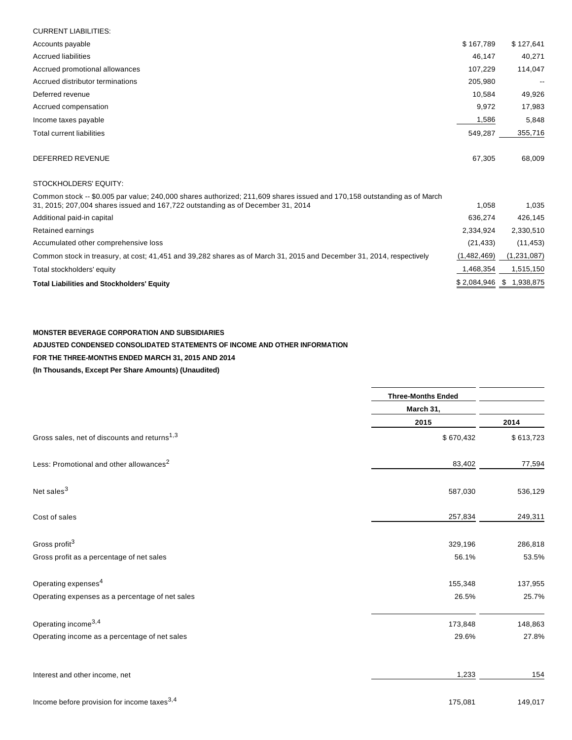| <b>CURRENT LIABILITIES:</b>                                                                                                                                                                                |             |             |
|------------------------------------------------------------------------------------------------------------------------------------------------------------------------------------------------------------|-------------|-------------|
| Accounts payable                                                                                                                                                                                           | \$167,789   | \$127,641   |
| <b>Accrued liabilities</b>                                                                                                                                                                                 | 46,147      | 40,271      |
| Accrued promotional allowances                                                                                                                                                                             | 107,229     | 114,047     |
| Accrued distributor terminations                                                                                                                                                                           | 205,980     | --          |
| Deferred revenue                                                                                                                                                                                           | 10,584      | 49,926      |
| Accrued compensation                                                                                                                                                                                       | 9,972       | 17,983      |
| Income taxes payable                                                                                                                                                                                       | 1,586       | 5,848       |
| <b>Total current liabilities</b>                                                                                                                                                                           | 549,287     | 355,716     |
| DEFERRED REVENUE                                                                                                                                                                                           | 67,305      | 68,009      |
| STOCKHOLDERS' EQUITY:                                                                                                                                                                                      |             |             |
| Common stock -- \$0.005 par value; 240,000 shares authorized; 211,609 shares issued and 170,158 outstanding as of March<br>31, 2015; 207,004 shares issued and 167,722 outstanding as of December 31, 2014 | 1,058       | 1,035       |
| Additional paid-in capital                                                                                                                                                                                 | 636,274     | 426,145     |
| Retained earnings                                                                                                                                                                                          | 2,334,924   | 2,330,510   |
| Accumulated other comprehensive loss                                                                                                                                                                       | (21, 433)   | (11, 453)   |
| Common stock in treasury, at cost; 41,451 and 39,282 shares as of March 31, 2015 and December 31, 2014, respectively                                                                                       | (1,482,469) | (1,231,087) |
| Total stockholders' equity                                                                                                                                                                                 | 1,468,354   | 1,515,150   |
| <b>Total Liabilities and Stockholders' Equity</b>                                                                                                                                                          | \$2,084,946 | \$1,938,875 |

## **MONSTER BEVERAGE CORPORATION AND SUBSIDIARIES**

## **ADJUSTED CONDENSED CONSOLIDATED STATEMENTS OF INCOME AND OTHER INFORMATION**

# **FOR THE THREE-MONTHS ENDED MARCH 31, 2015 AND 2014**

**(In Thousands, Except Per Share Amounts) (Unaudited)**

|                                                          | <b>Three-Months Ended</b> |           |
|----------------------------------------------------------|---------------------------|-----------|
|                                                          | March 31,                 |           |
|                                                          | 2015                      | 2014      |
| Gross sales, net of discounts and returns <sup>1,3</sup> | \$670,432                 | \$613,723 |
| Less: Promotional and other allowances <sup>2</sup>      | 83,402                    | 77,594    |
| Net sales <sup>3</sup>                                   | 587,030                   | 536,129   |
| Cost of sales                                            | 257,834                   | 249,311   |
| Gross profit <sup>3</sup>                                | 329,196                   | 286,818   |
| Gross profit as a percentage of net sales                | 56.1%                     | 53.5%     |
| Operating expenses <sup>4</sup>                          | 155,348                   | 137,955   |
| Operating expenses as a percentage of net sales          | 26.5%                     | 25.7%     |
| Operating income <sup>3,4</sup>                          | 173,848                   | 148,863   |
| Operating income as a percentage of net sales            | 29.6%                     | 27.8%     |
|                                                          |                           |           |
| Interest and other income, net                           | 1,233                     | 154       |
| Income before provision for income taxes <sup>3,4</sup>  | 175,081                   | 149,017   |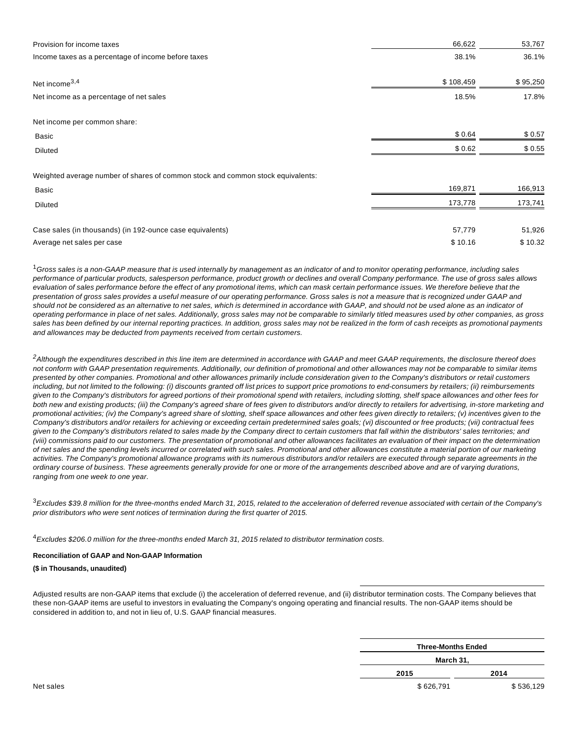| Provision for income taxes                                                      | 66,622    | 53,767   |
|---------------------------------------------------------------------------------|-----------|----------|
| Income taxes as a percentage of income before taxes                             | 38.1%     | 36.1%    |
|                                                                                 |           |          |
| Net income <sup>3,4</sup>                                                       | \$108,459 | \$95,250 |
| Net income as a percentage of net sales                                         | 18.5%     | 17.8%    |
|                                                                                 |           |          |
| Net income per common share:                                                    |           |          |
| Basic                                                                           | \$0.64    | \$0.57   |
| <b>Diluted</b>                                                                  | \$0.62    | \$0.55   |
|                                                                                 |           |          |
| Weighted average number of shares of common stock and common stock equivalents: |           |          |
| Basic                                                                           | 169,871   | 166,913  |
| <b>Diluted</b>                                                                  | 173,778   | 173,741  |
|                                                                                 |           |          |
| Case sales (in thousands) (in 192-ounce case equivalents)                       | 57,779    | 51,926   |
| Average net sales per case                                                      | \$10.16   | \$10.32  |

 $^1$ Gross sales is a non-GAAP measure that is used internally by management as an indicator of and to monitor operating performance, including sales performance of particular products, salesperson performance, product growth or declines and overall Company performance. The use of gross sales allows evaluation of sales performance before the effect of any promotional items, which can mask certain performance issues. We therefore believe that the presentation of gross sales provides a useful measure of our operating performance. Gross sales is not a measure that is recognized under GAAP and should not be considered as an alternative to net sales, which is determined in accordance with GAAP, and should not be used alone as an indicator of operating performance in place of net sales. Additionally, gross sales may not be comparable to similarly titled measures used by other companies, as gross sales has been defined by our internal reporting practices. In addition, gross sales may not be realized in the form of cash receipts as promotional payments and allowances may be deducted from payments received from certain customers.

<sup>2</sup>Although the expenditures described in this line item are determined in accordance with GAAP and meet GAAP requirements, the disclosure thereof does not conform with GAAP presentation requirements. Additionally, our definition of promotional and other allowances may not be comparable to similar items presented by other companies. Promotional and other allowances primarily include consideration given to the Company's distributors or retail customers including, but not limited to the following: (i) discounts granted off list prices to support price promotions to end-consumers by retailers; (ii) reimbursements given to the Company's distributors for agreed portions of their promotional spend with retailers, including slotting, shelf space allowances and other fees for both new and existing products; (iii) the Company's agreed share of fees given to distributors and/or directly to retailers for advertising, in-store marketing and promotional activities; (iv) the Company's agreed share of slotting, shelf space allowances and other fees given directly to retailers; (v) incentives given to the Company's distributors and/or retailers for achieving or exceeding certain predetermined sales goals; (vi) discounted or free products; (vii) contractual fees given to the Company's distributors related to sales made by the Company direct to certain customers that fall within the distributors' sales territories; and (viii) commissions paid to our customers. The presentation of promotional and other allowances facilitates an evaluation of their impact on the determination of net sales and the spending levels incurred or correlated with such sales. Promotional and other allowances constitute a material portion of our marketing activities. The Company's promotional allowance programs with its numerous distributors and/or retailers are executed through separate agreements in the ordinary course of business. These agreements generally provide for one or more of the arrangements described above and are of varying durations, ranging from one week to one year.

 $3$ Excludes \$39.8 million for the three-months ended March 31, 2015, related to the acceleration of deferred revenue associated with certain of the Company's prior distributors who were sent notices of termination during the first quarter of 2015.

<sup>4</sup>Excludes \$206.0 million for the three-months ended March 31, 2015 related to distributor termination costs.

#### **Reconciliation of GAAP and Non-GAAP Information**

#### **(\$ in Thousands, unaudited)**

Adjusted results are non-GAAP items that exclude (i) the acceleration of deferred revenue, and (ii) distributor termination costs. The Company believes that these non-GAAP items are useful to investors in evaluating the Company's ongoing operating and financial results. The non-GAAP items should be considered in addition to, and not in lieu of, U.S. GAAP financial measures.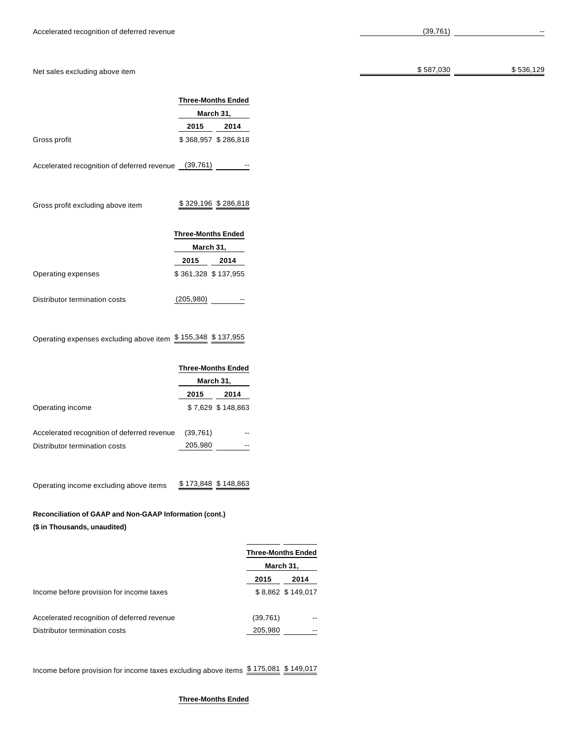Net sales excluding above item \$ 536,129

| <b>Three-Months Ended</b> |           |
|---------------------------|-----------|
|                           | March 31, |
| 2015                      | 2014      |

| Gross profit                                         |                     | \$368,957 \$286,818 |
|------------------------------------------------------|---------------------|---------------------|
| Accelerated recognition of deferred revenue (39,761) |                     |                     |
| Gross profit excluding above item                    | \$329,196 \$286,818 |                     |

|                               | <b>Three-Months Ended</b><br>March 31, |                     |
|-------------------------------|----------------------------------------|---------------------|
|                               |                                        |                     |
|                               | 2015                                   | 2014                |
| Operating expenses            |                                        | \$361,328 \$137,955 |
| Distributor termination costs | (205,980)                              |                     |

Operating expenses excluding above item \$ 155,348 \$ 137,955

|                                             |           | <b>Three-Months Ended</b> |  |
|---------------------------------------------|-----------|---------------------------|--|
|                                             | March 31, |                           |  |
|                                             | 2015      | 2014                      |  |
| Operating income                            |           | \$7,629 \$148,863         |  |
| Accelerated recognition of deferred revenue | (39,761)  |                           |  |
| Distributor termination costs               | 205,980   |                           |  |

Operating income excluding above items \$173,848 \$148,863

. .

## **Reconciliation of GAAP and Non-GAAP Information (cont.) (\$ in Thousands, unaudited)**

|                                             | <b>Three-Months Ended</b><br>March 31, |                   |
|---------------------------------------------|----------------------------------------|-------------------|
|                                             |                                        |                   |
|                                             | 2015                                   | 2014              |
| Income before provision for income taxes    |                                        | \$8,862 \$149,017 |
| Accelerated recognition of deferred revenue | (39,761)                               |                   |
| Distributor termination costs               | 205,980                                |                   |

Income before provision for income taxes excluding above items \$175,081 \$149,017

## **Three-Months Ended**